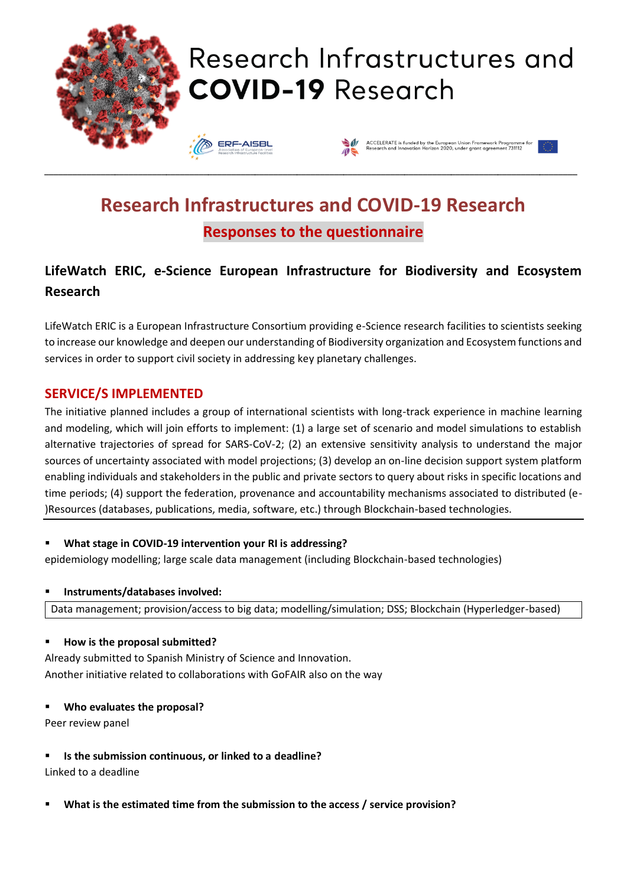

## **Research Infrastructures and COVID-19 Research Responses to the questionnaire**

## **LifeWatch ERIC, e-Science European Infrastructure for Biodiversity and Ecosystem Research**

LifeWatch ERIC is a European Infrastructure Consortium providing e-Science research facilities to scientists seeking to increase our knowledge and deepen our understanding of Biodiversity organization and Ecosystem functions and services in order to support civil society in addressing key planetary challenges.

#### **SERVICE/S IMPLEMENTED**

The initiative planned includes a group of international scientists with long-track experience in machine learning and modeling, which will join efforts to implement: (1) a large set of scenario and model simulations to establish alternative trajectories of spread for SARS-CoV-2; (2) an extensive sensitivity analysis to understand the major sources of uncertainty associated with model projections; (3) develop an on-line decision support system platform enabling individuals and stakeholders in the public and private sectors to query about risks in specific locations and time periods; (4) support the federation, provenance and accountability mechanisms associated to distributed (e- )Resources (databases, publications, media, software, etc.) through Blockchain-based technologies.

#### ▪ **What stage in COVID-19 intervention your RI is addressing?**

epidemiology modelling; large scale data management (including Blockchain-based technologies)

#### ▪ **Instruments/databases involved:**

Data management; provision/access to big data; modelling/simulation; DSS; Blockchain (Hyperledger-based)

#### ▪ **How is the proposal submitted?**

Already submitted to Spanish Ministry of Science and Innovation. Another initiative related to collaborations with GoFAIR also on the way

▪ **Who evaluates the proposal?** 

Peer review panel

▪ **Is the submission continuous, or linked to a deadline?**

Linked to a deadline

What is the estimated time from the submission to the access / service provision?